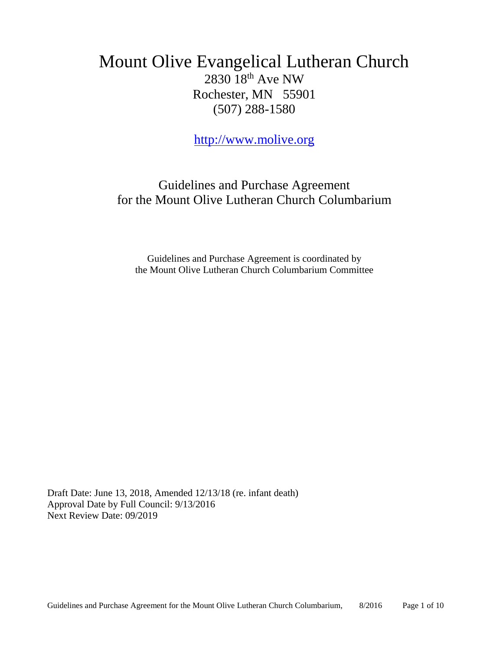## Mount Olive Evangelical Lutheran Church 2830 18th Ave NW Rochester, MN 55901 (507) 288-1580

[http://www.molive.org](http://www.molive.org/)

Guidelines and Purchase Agreement for the Mount Olive Lutheran Church Columbarium

Guidelines and Purchase Agreement is coordinated by the Mount Olive Lutheran Church Columbarium Committee

Draft Date: June 13, 2018, Amended 12/13/18 (re. infant death) Approval Date by Full Council: 9/13/2016 Next Review Date: 09/2019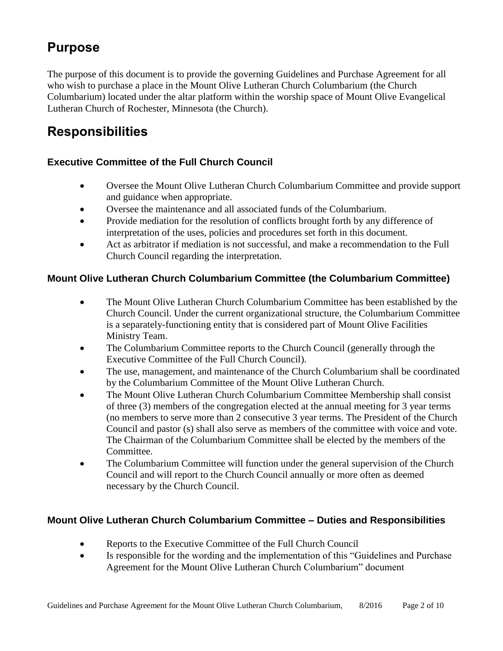## **Purpose**

The purpose of this document is to provide the governing Guidelines and Purchase Agreement for all who wish to purchase a place in the Mount Olive Lutheran Church Columbarium (the Church Columbarium) located under the altar platform within the worship space of Mount Olive Evangelical Lutheran Church of Rochester, Minnesota (the Church).

# **Responsibilities**

### **Executive Committee of the Full Church Council**

- Oversee the Mount Olive Lutheran Church Columbarium Committee and provide support and guidance when appropriate.
- Oversee the maintenance and all associated funds of the Columbarium.
- Provide mediation for the resolution of conflicts brought forth by any difference of interpretation of the uses, policies and procedures set forth in this document.
- Act as arbitrator if mediation is not successful, and make a recommendation to the Full Church Council regarding the interpretation.

### **Mount Olive Lutheran Church Columbarium Committee (the Columbarium Committee)**

- The Mount Olive Lutheran Church Columbarium Committee has been established by the Church Council. Under the current organizational structure, the Columbarium Committee is a separately-functioning entity that is considered part of Mount Olive Facilities Ministry Team.
- The Columbarium Committee reports to the Church Council (generally through the Executive Committee of the Full Church Council).
- The use, management, and maintenance of the Church Columbarium shall be coordinated by the Columbarium Committee of the Mount Olive Lutheran Church.
- The Mount Olive Lutheran Church Columbarium Committee Membership shall consist of three (3) members of the congregation elected at the annual meeting for 3 year terms (no members to serve more than 2 consecutive 3 year terms. The President of the Church Council and pastor (s) shall also serve as members of the committee with voice and vote. The Chairman of the Columbarium Committee shall be elected by the members of the Committee.
- The Columbarium Committee will function under the general supervision of the Church Council and will report to the Church Council annually or more often as deemed necessary by the Church Council.

### **Mount Olive Lutheran Church Columbarium Committee – Duties and Responsibilities**

- Reports to the Executive Committee of the Full Church Council
- Is responsible for the wording and the implementation of this "Guidelines and Purchase Agreement for the Mount Olive Lutheran Church Columbarium" document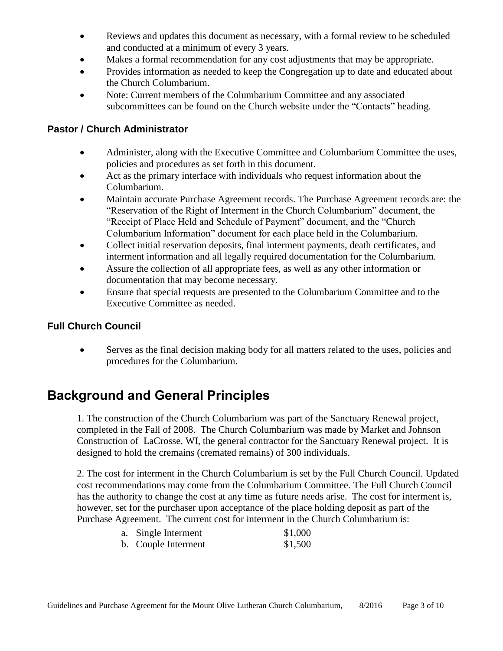- Reviews and updates this document as necessary, with a formal review to be scheduled and conducted at a minimum of every 3 years.
- Makes a formal recommendation for any cost adjustments that may be appropriate.
- Provides information as needed to keep the Congregation up to date and educated about the Church Columbarium.
- Note: Current members of the Columbarium Committee and any associated subcommittees can be found on the Church website under the "Contacts" heading.

#### **Pastor / Church Administrator**

- Administer, along with the Executive Committee and Columbarium Committee the uses, policies and procedures as set forth in this document.
- Act as the primary interface with individuals who request information about the Columbarium.
- Maintain accurate Purchase Agreement records. The Purchase Agreement records are: the "Reservation of the Right of Interment in the Church Columbarium" document, the "Receipt of Place Held and Schedule of Payment" document, and the "Church Columbarium Information" document for each place held in the Columbarium.
- Collect initial reservation deposits, final interment payments, death certificates, and interment information and all legally required documentation for the Columbarium.
- Assure the collection of all appropriate fees, as well as any other information or documentation that may become necessary.
- Ensure that special requests are presented to the Columbarium Committee and to the Executive Committee as needed.

### **Full Church Council**

• Serves as the final decision making body for all matters related to the uses, policies and procedures for the Columbarium.

## **Background and General Principles**

1. The construction of the Church Columbarium was part of the Sanctuary Renewal project, completed in the Fall of 2008. The Church Columbarium was made by Market and Johnson Construction of LaCrosse, WI, the general contractor for the Sanctuary Renewal project. It is designed to hold the cremains (cremated remains) of 300 individuals.

2. The cost for interment in the Church Columbarium is set by the Full Church Council. Updated cost recommendations may come from the Columbarium Committee. The Full Church Council has the authority to change the cost at any time as future needs arise. The cost for interment is, however, set for the purchaser upon acceptance of the place holding deposit as part of the Purchase Agreement. The current cost for interment in the Church Columbarium is:

| a. Single Interment  | \$1,000 |
|----------------------|---------|
| 1. $\bigcap$ 1. Tuts | 01.500  |

b. Couple Interment \$1,500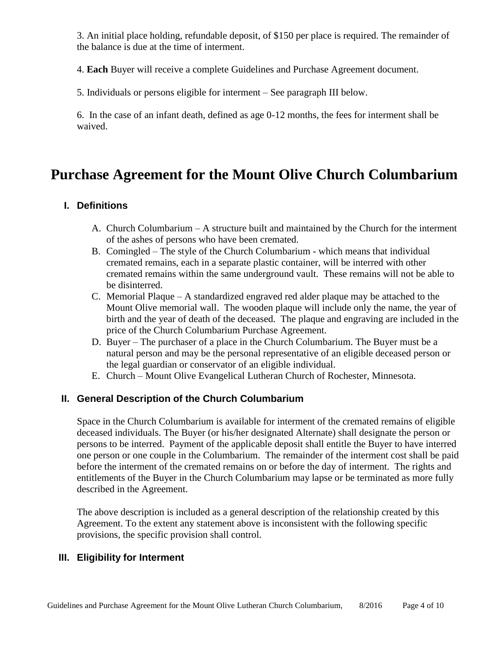3. An initial place holding, refundable deposit, of \$150 per place is required. The remainder of the balance is due at the time of interment.

4. **Each** Buyer will receive a complete Guidelines and Purchase Agreement document.

5. Individuals or persons eligible for interment – See paragraph III below.

6. In the case of an infant death, defined as age 0-12 months, the fees for interment shall be waived.

## **Purchase Agreement for the Mount Olive Church Columbarium**

#### **I. Definitions**

- A. Church Columbarium A structure built and maintained by the Church for the interment of the ashes of persons who have been cremated.
- B. Comingled The style of the Church Columbarium which means that individual cremated remains, each in a separate plastic container, will be interred with other cremated remains within the same underground vault. These remains will not be able to be disinterred.
- C. Memorial Plaque A standardized engraved red alder plaque may be attached to the Mount Olive memorial wall. The wooden plaque will include only the name, the year of birth and the year of death of the deceased. The plaque and engraving are included in the price of the Church Columbarium Purchase Agreement.
- D. Buyer The purchaser of a place in the Church Columbarium. The Buyer must be a natural person and may be the personal representative of an eligible deceased person or the legal guardian or conservator of an eligible individual.
- E. Church Mount Olive Evangelical Lutheran Church of Rochester, Minnesota.

#### **II. General Description of the Church Columbarium**

Space in the Church Columbarium is available for interment of the cremated remains of eligible deceased individuals. The Buyer (or his/her designated Alternate) shall designate the person or persons to be interred. Payment of the applicable deposit shall entitle the Buyer to have interred one person or one couple in the Columbarium. The remainder of the interment cost shall be paid before the interment of the cremated remains on or before the day of interment. The rights and entitlements of the Buyer in the Church Columbarium may lapse or be terminated as more fully described in the Agreement.

The above description is included as a general description of the relationship created by this Agreement. To the extent any statement above is inconsistent with the following specific provisions, the specific provision shall control.

#### **III. Eligibility for Interment**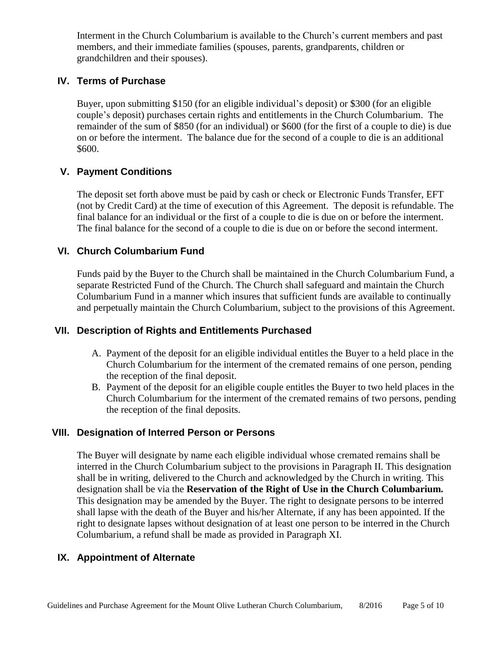Interment in the Church Columbarium is available to the Church's current members and past members, and their immediate families (spouses, parents, grandparents, children or grandchildren and their spouses).

#### **IV. Terms of Purchase**

Buyer, upon submitting \$150 (for an eligible individual's deposit) or \$300 (for an eligible couple's deposit) purchases certain rights and entitlements in the Church Columbarium. The remainder of the sum of \$850 (for an individual) or \$600 (for the first of a couple to die) is due on or before the interment. The balance due for the second of a couple to die is an additional \$600.

#### **V. Payment Conditions**

The deposit set forth above must be paid by cash or check or Electronic Funds Transfer, EFT (not by Credit Card) at the time of execution of this Agreement. The deposit is refundable. The final balance for an individual or the first of a couple to die is due on or before the interment. The final balance for the second of a couple to die is due on or before the second interment.

#### **VI. Church Columbarium Fund**

Funds paid by the Buyer to the Church shall be maintained in the Church Columbarium Fund, a separate Restricted Fund of the Church. The Church shall safeguard and maintain the Church Columbarium Fund in a manner which insures that sufficient funds are available to continually and perpetually maintain the Church Columbarium, subject to the provisions of this Agreement.

#### **VII. Description of Rights and Entitlements Purchased**

- A. Payment of the deposit for an eligible individual entitles the Buyer to a held place in the Church Columbarium for the interment of the cremated remains of one person, pending the reception of the final deposit.
- B. Payment of the deposit for an eligible couple entitles the Buyer to two held places in the Church Columbarium for the interment of the cremated remains of two persons, pending the reception of the final deposits.

#### **VIII. Designation of Interred Person or Persons**

The Buyer will designate by name each eligible individual whose cremated remains shall be interred in the Church Columbarium subject to the provisions in Paragraph II. This designation shall be in writing, delivered to the Church and acknowledged by the Church in writing. This designation shall be via the **Reservation of the Right of Use in the Church Columbarium.**  This designation may be amended by the Buyer. The right to designate persons to be interred shall lapse with the death of the Buyer and his/her Alternate, if any has been appointed. If the right to designate lapses without designation of at least one person to be interred in the Church Columbarium, a refund shall be made as provided in Paragraph XI.

### **IX. Appointment of Alternate**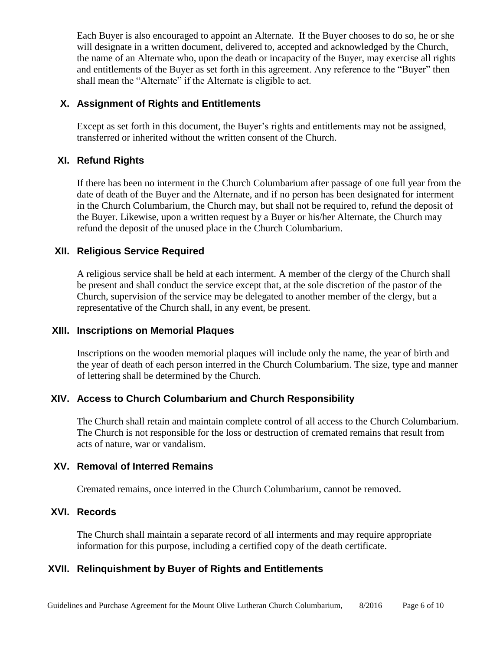Each Buyer is also encouraged to appoint an Alternate. If the Buyer chooses to do so, he or she will designate in a written document, delivered to, accepted and acknowledged by the Church, the name of an Alternate who, upon the death or incapacity of the Buyer, may exercise all rights and entitlements of the Buyer as set forth in this agreement. Any reference to the "Buyer" then shall mean the "Alternate" if the Alternate is eligible to act.

#### **X. Assignment of Rights and Entitlements**

Except as set forth in this document, the Buyer's rights and entitlements may not be assigned, transferred or inherited without the written consent of the Church.

#### **XI. Refund Rights**

If there has been no interment in the Church Columbarium after passage of one full year from the date of death of the Buyer and the Alternate, and if no person has been designated for interment in the Church Columbarium, the Church may, but shall not be required to, refund the deposit of the Buyer. Likewise, upon a written request by a Buyer or his/her Alternate, the Church may refund the deposit of the unused place in the Church Columbarium.

#### **XII. Religious Service Required**

A religious service shall be held at each interment. A member of the clergy of the Church shall be present and shall conduct the service except that, at the sole discretion of the pastor of the Church, supervision of the service may be delegated to another member of the clergy, but a representative of the Church shall, in any event, be present.

#### **XIII. Inscriptions on Memorial Plaques**

Inscriptions on the wooden memorial plaques will include only the name, the year of birth and the year of death of each person interred in the Church Columbarium. The size, type and manner of lettering shall be determined by the Church.

### **XIV. Access to Church Columbarium and Church Responsibility**

The Church shall retain and maintain complete control of all access to the Church Columbarium. The Church is not responsible for the loss or destruction of cremated remains that result from acts of nature, war or vandalism.

#### **XV. Removal of Interred Remains**

Cremated remains, once interred in the Church Columbarium, cannot be removed.

### **XVI. Records**

The Church shall maintain a separate record of all interments and may require appropriate information for this purpose, including a certified copy of the death certificate.

### **XVII. Relinquishment by Buyer of Rights and Entitlements**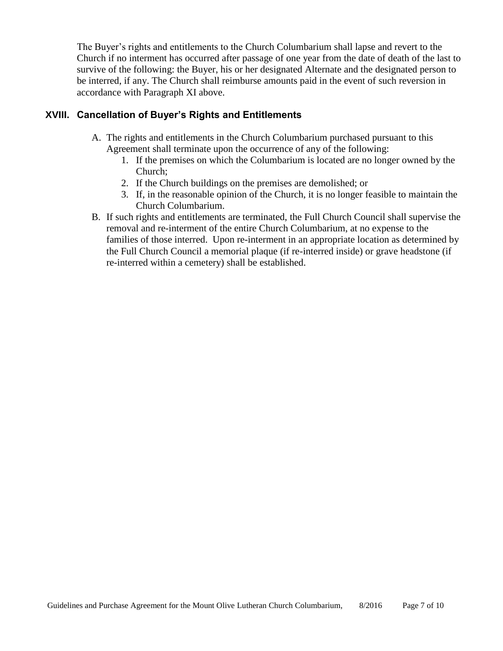The Buyer's rights and entitlements to the Church Columbarium shall lapse and revert to the Church if no interment has occurred after passage of one year from the date of death of the last to survive of the following: the Buyer, his or her designated Alternate and the designated person to be interred, if any. The Church shall reimburse amounts paid in the event of such reversion in accordance with Paragraph XI above.

#### **XVIII. Cancellation of Buyer's Rights and Entitlements**

- A. The rights and entitlements in the Church Columbarium purchased pursuant to this Agreement shall terminate upon the occurrence of any of the following:
	- 1. If the premises on which the Columbarium is located are no longer owned by the Church;
	- 2. If the Church buildings on the premises are demolished; or
	- 3. If, in the reasonable opinion of the Church, it is no longer feasible to maintain the Church Columbarium.
- B. If such rights and entitlements are terminated, the Full Church Council shall supervise the removal and re-interment of the entire Church Columbarium, at no expense to the families of those interred. Upon re-interment in an appropriate location as determined by the Full Church Council a memorial plaque (if re-interred inside) or grave headstone (if re-interred within a cemetery) shall be established.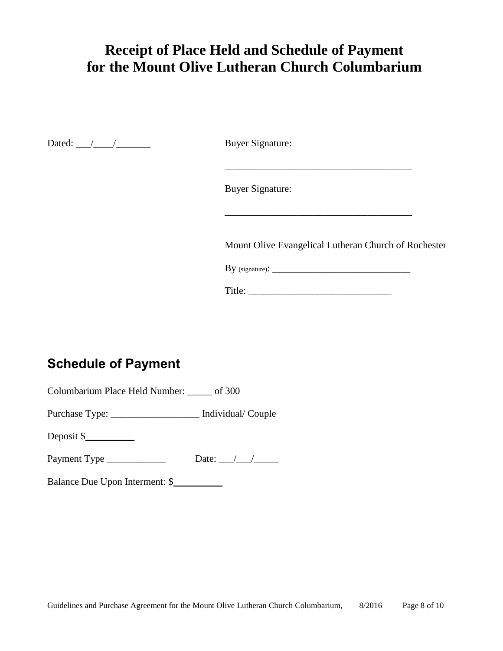# **Receipt of Place Held and Schedule of Payment for the Mount Olive Lutheran Church Columbarium**

Dated: \_\_\_/\_\_\_\_/\_\_\_\_\_\_\_ Buyer Signature:

Buyer Signature:

Mount Olive Evangelical Lutheran Church of Rochester

 $\mathcal{L}_\text{max}$  and  $\mathcal{L}_\text{max}$  and  $\mathcal{L}_\text{max}$  and  $\mathcal{L}_\text{max}$ 

 $\rm\,By~(signature):$ 

\_\_\_\_\_\_\_\_\_\_\_\_\_\_\_\_\_\_\_\_\_\_\_\_\_\_\_\_\_\_\_\_\_\_\_\_\_\_

Title: \_\_\_\_\_\_\_\_\_\_\_\_\_\_\_\_\_\_\_\_\_\_\_\_\_\_\_\_\_

## **Schedule of Payment**

Columbarium Place Held Number: \_\_\_\_\_ of 300

Purchase Type: \_\_\_\_\_\_\_\_\_\_\_\_\_\_\_\_\_\_ Individual/ Couple

Deposit \$\_\_\_\_\_\_\_\_\_\_

Payment Type \_\_\_\_\_\_\_\_\_\_\_\_ Date: \_\_\_/\_\_\_/\_\_\_\_\_

Balance Due Upon Interment: \$\_\_\_\_\_\_\_\_\_\_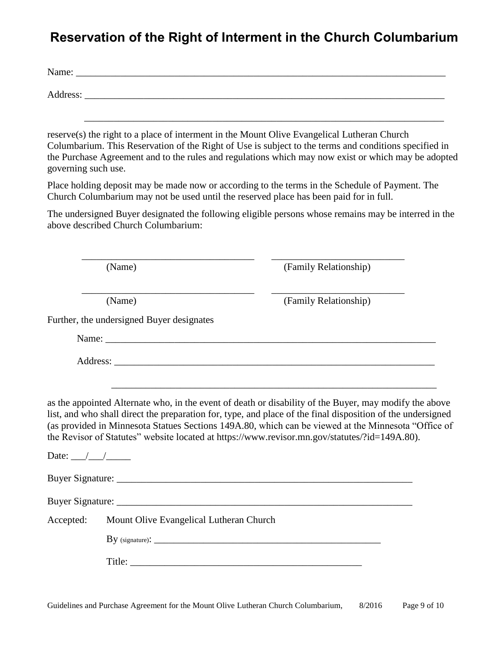## **Reservation of the Right of Interment in the Church Columbarium**

| Name: $\frac{1}{\sqrt{1-\frac{1}{2}} \cdot \frac{1}{2}}$                                                                                                                                                                                                                                                                           |
|------------------------------------------------------------------------------------------------------------------------------------------------------------------------------------------------------------------------------------------------------------------------------------------------------------------------------------|
|                                                                                                                                                                                                                                                                                                                                    |
| reserve(s) the right to a place of interment in the Mount Olive Evangelical Lutheran Church<br>Columbarium. This Reservation of the Right of Use is subject to the terms and conditions specified in<br>the Purchase Agreement and to the rules and regulations which may now exist or which may be adopted<br>governing such use. |
| Place holding deposit may be made now or according to the terms in the Schedule of Payment. The                                                                                                                                                                                                                                    |

Church Columbarium may not be used until the reserved place has been paid for in full.

\_\_\_\_\_\_\_\_\_\_\_\_\_\_\_\_\_\_\_\_\_\_\_\_\_\_\_\_\_\_\_\_\_\_\_ \_\_\_\_\_\_\_\_\_\_\_\_\_\_\_\_\_\_\_\_\_\_\_\_\_\_\_

The undersigned Buyer designated the following eligible persons whose remains may be interred in the above described Church Columbarium:

(Name) (Family Relationship)

 \_\_\_\_\_\_\_\_\_\_\_\_\_\_\_\_\_\_\_\_\_\_\_\_\_\_\_\_\_\_\_\_\_\_\_ \_\_\_\_\_\_\_\_\_\_\_\_\_\_\_\_\_\_\_\_\_\_\_\_\_\_\_ (Name) (Family Relationship)

Further, the undersigned Buyer designates

Name:

Address:

\_\_\_\_\_\_\_\_\_\_\_\_\_\_\_\_\_\_\_\_\_\_\_\_\_\_\_\_\_\_\_\_\_\_\_\_\_\_\_\_\_\_\_\_\_\_\_\_\_\_\_\_\_\_\_\_\_\_\_\_\_\_\_\_\_\_

as the appointed Alternate who, in the event of death or disability of the Buyer, may modify the above list, and who shall direct the preparation for, type, and place of the final disposition of the undersigned (as provided in Minnesota Statues Sections 149A.80, which can be viewed at the Minnesota "Office of the Revisor of Statutes" website located at https://www.revisor.mn.gov/statutes/?id=149A.80).

| Date: $\angle$ |                                                                                                                                                                                                                                                                                                                                                                                                              |  |  |  |  |  |  |
|----------------|--------------------------------------------------------------------------------------------------------------------------------------------------------------------------------------------------------------------------------------------------------------------------------------------------------------------------------------------------------------------------------------------------------------|--|--|--|--|--|--|
|                |                                                                                                                                                                                                                                                                                                                                                                                                              |  |  |  |  |  |  |
|                |                                                                                                                                                                                                                                                                                                                                                                                                              |  |  |  |  |  |  |
| Accepted:      | Mount Olive Evangelical Lutheran Church                                                                                                                                                                                                                                                                                                                                                                      |  |  |  |  |  |  |
|                |                                                                                                                                                                                                                                                                                                                                                                                                              |  |  |  |  |  |  |
|                | Title: $\frac{1}{\sqrt{1-\frac{1}{2}}\sqrt{1-\frac{1}{2}}\sqrt{1-\frac{1}{2}}\sqrt{1-\frac{1}{2}}\sqrt{1-\frac{1}{2}}\sqrt{1-\frac{1}{2}}\sqrt{1-\frac{1}{2}}\sqrt{1-\frac{1}{2}}\sqrt{1-\frac{1}{2}}\sqrt{1-\frac{1}{2}}\sqrt{1-\frac{1}{2}}\sqrt{1-\frac{1}{2}}\sqrt{1-\frac{1}{2}}\sqrt{1-\frac{1}{2}}\sqrt{1-\frac{1}{2}}\sqrt{1-\frac{1}{2}}\sqrt{1-\frac{1}{2}}\sqrt{1-\frac{1}{2}}\sqrt{1-\frac{1}{2$ |  |  |  |  |  |  |